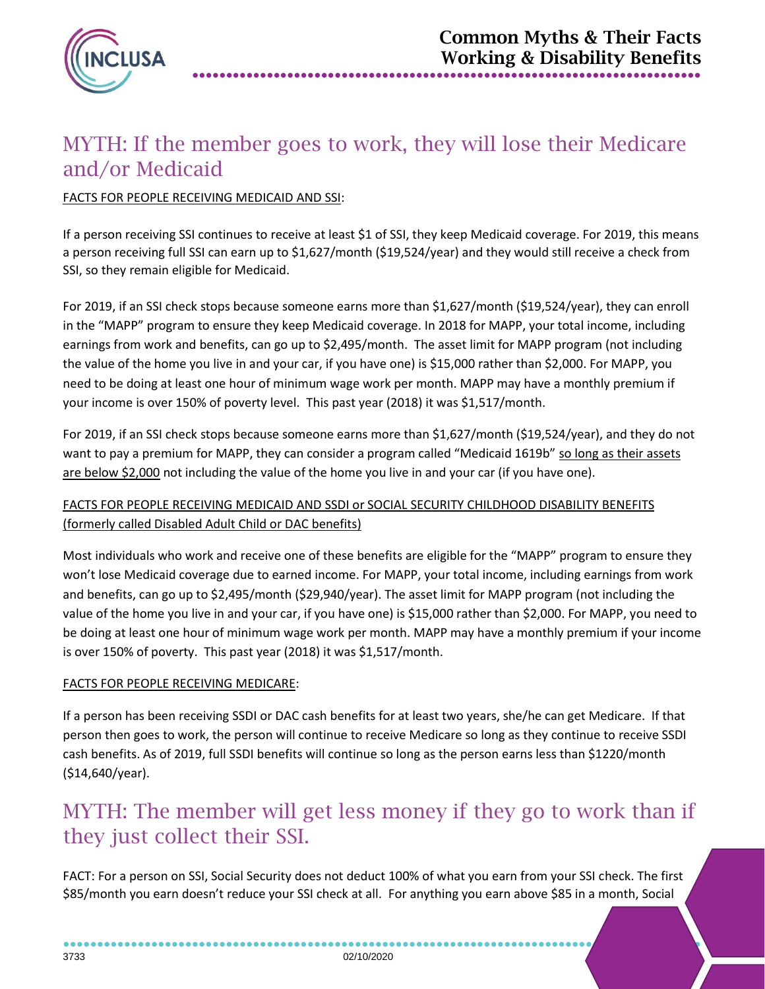

## MYTH: If the member goes to work, they will lose their Medicare and/or Medicaid

#### FACTS FOR PEOPLE RECEIVING MEDICAID AND SSI:

If a person receiving SSI continues to receive at least \$1 of SSI, they keep Medicaid coverage. For 2019, this means a person receiving full SSI can earn up to \$1,627/month (\$19,524/year) and they would still receive a check from SSI, so they remain eligible for Medicaid.

For 2019, if an SSI check stops because someone earns more than \$1,627/month (\$19,524/year), they can enroll in the "MAPP" program to ensure they keep Medicaid coverage. In 2018 for MAPP, your total income, including earnings from work and benefits, can go up to \$2,495/month. The asset limit for MAPP program (not including the value of the home you live in and your car, if you have one) is \$15,000 rather than \$2,000. For MAPP, you need to be doing at least one hour of minimum wage work per month. MAPP may have a monthly premium if your income is over 150% of poverty level. This past year (2018) it was \$1,517/month.

For 2019, if an SSI check stops because someone earns more than \$1,627/month (\$19,524/year), and they do not want to pay a premium for MAPP, they can consider a program called "Medicaid 1619b" so long as their assets are below \$2,000 not including the value of the home you live in and your car (if you have one).

#### FACTS FOR PEOPLE RECEIVING MEDICAID AND SSDI or SOCIAL SECURITY CHILDHOOD DISABILITY BENEFITS (formerly called Disabled Adult Child or DAC benefits)

Most individuals who work and receive one of these benefits are eligible for the "MAPP" program to ensure they won't lose Medicaid coverage due to earned income. For MAPP, your total income, including earnings from work and benefits, can go up to \$2,495/month (\$29,940/year). The asset limit for MAPP program (not including the value of the home you live in and your car, if you have one) is \$15,000 rather than \$2,000. For MAPP, you need to be doing at least one hour of minimum wage work per month. MAPP may have a monthly premium if your income is over 150% of poverty. This past year (2018) it was \$1,517/month.

#### FACTS FOR PEOPLE RECEIVING MEDICARE:

If a person has been receiving SSDI or DAC cash benefits for at least two years, she/he can get Medicare. If that person then goes to work, the person will continue to receive Medicare so long as they continue to receive SSDI cash benefits. As of 2019, full SSDI benefits will continue so long as the person earns less than \$1220/month (\$14,640/year).

### MYTH: The member will get less money if they go to work than if they just collect their SSI.

FACT: For a person on SSI, Social Security does not deduct 100% of what you earn from your SSI check. The first \$85/month you earn doesn't reduce your SSI check at all. For anything you earn above \$85 in a month, Social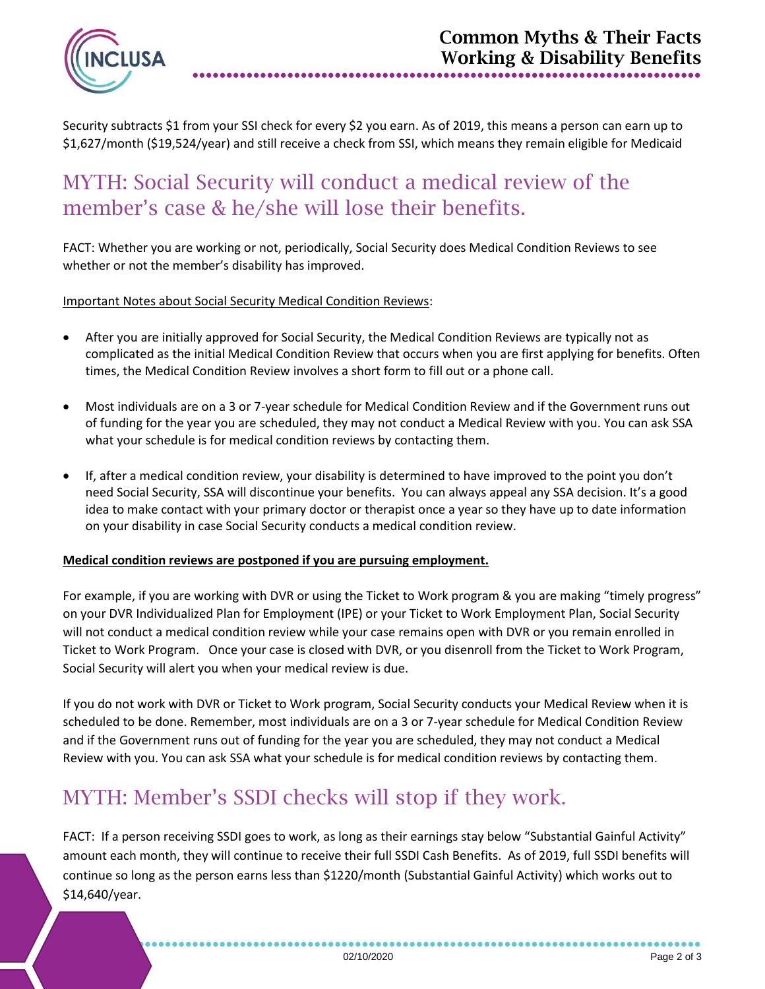

Security subtracts \$1 from your SSI check for every \$2 you earn. As of 2019, this means a person can earn up to \$1,627/month (\$19,524/year) and still receive a check from SSI, which means they remain eligible for Medicaid

### MYTH: Social Security will conduct a medical review of the member's case & he/she will lose their benefits.

FACT: Whether you are working or not, periodically, Social Security does Medical Condition Reviews to see whether or not the member's disability has improved.

Important Notes about Social Security Medical Condition Reviews:

- After you are initially approved for Social Security, the Medical Condition Reviews are typically not as complicated as the initial Medical Condition Review that occurs when you are first applying for benefits. Often times, the Medical Condition Review involves a short form to fill out or a phone call.
- Most individuals are on a 3 or 7-year schedule for Medical Condition Review and if the Government runs out of funding for the year you are scheduled, they may not conduct a Medical Review with you. You can ask SSA what your schedule is for medical condition reviews by contacting them.
- If, after a medical condition review, your disability is determined to have improved to the point you don't need Social Security, SSA will discontinue your benefits. You can always appeal any SSA decision. It's a good idea to make contact with your primary doctor or therapist once a year so they have up to date information on your disability in case Social Security conducts a medical condition review.

#### **Medical condition reviews are postponed if you are pursuing employment.**

For example, if you are working with DVR or using the Ticket to Work program & you are making "timely progress" on your DVR Individualized Plan for Employment (IPE) or your Ticket to Work Employment Plan, Social Security will not conduct a medical condition review while your case remains open with DVR or you remain enrolled in Ticket to Work Program. Once your case is closed with DVR, or you disenroll from the Ticket to Work Program, Social Security will alert you when your medical review is due.

If you do not work with DVR or Ticket to Work program, Social Security conducts your Medical Review when it is scheduled to be done. Remember, most individuals are on a 3 or 7-year schedule for Medical Condition Review and if the Government runs out of funding for the year you are scheduled, they may not conduct a Medical Review with you. You can ask SSA what your schedule is for medical condition reviews by contacting them.

# MYTH: Member's SSDI checks will stop if they work.

FACT: If a person receiving SSDI goes to work, as long as their earnings stay below "Substantial Gainful Activity" amount each month, they will continue to receive their full SSDI Cash Benefits. As of 2019, full SSDI benefits will continue so long as the person earns less than \$1220/month (Substantial Gainful Activity) which works out to \$14,640/year.